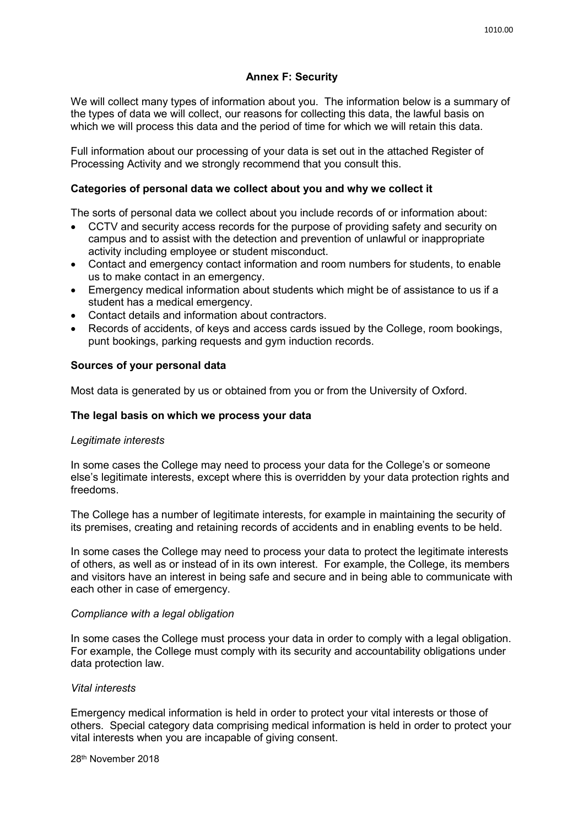# **Annex F: Security**

We will collect many types of information about you. The information below is a summary of the types of data we will collect, our reasons for collecting this data, the lawful basis on which we will process this data and the period of time for which we will retain this data.

Full information about our processing of your data is set out in the attached Register of Processing Activity and we strongly recommend that you consult this.

## **Categories of personal data we collect about you and why we collect it**

The sorts of personal data we collect about you include records of or information about:

- CCTV and security access records for the purpose of providing safety and security on campus and to assist with the detection and prevention of unlawful or inappropriate activity including employee or student misconduct.
- Contact and emergency contact information and room numbers for students, to enable us to make contact in an emergency.
- Emergency medical information about students which might be of assistance to us if a student has a medical emergency.
- Contact details and information about contractors.
- Records of accidents, of keys and access cards issued by the College, room bookings, punt bookings, parking requests and gym induction records.

### **Sources of your personal data**

Most data is generated by us or obtained from you or from the University of Oxford.

## **The legal basis on which we process your data**

#### *Legitimate interests*

In some cases the College may need to process your data for the College's or someone else's legitimate interests, except where this is overridden by your data protection rights and freedoms.

The College has a number of legitimate interests, for example in maintaining the security of its premises, creating and retaining records of accidents and in enabling events to be held.

In some cases the College may need to process your data to protect the legitimate interests of others, as well as or instead of in its own interest. For example, the College, its members and visitors have an interest in being safe and secure and in being able to communicate with each other in case of emergency.

#### *Compliance with a legal obligation*

In some cases the College must process your data in order to comply with a legal obligation. For example, the College must comply with its security and accountability obligations under data protection law.

#### *Vital interests*

Emergency medical information is held in order to protect your vital interests or those of others. Special category data comprising medical information is held in order to protect your vital interests when you are incapable of giving consent.

28th November 2018